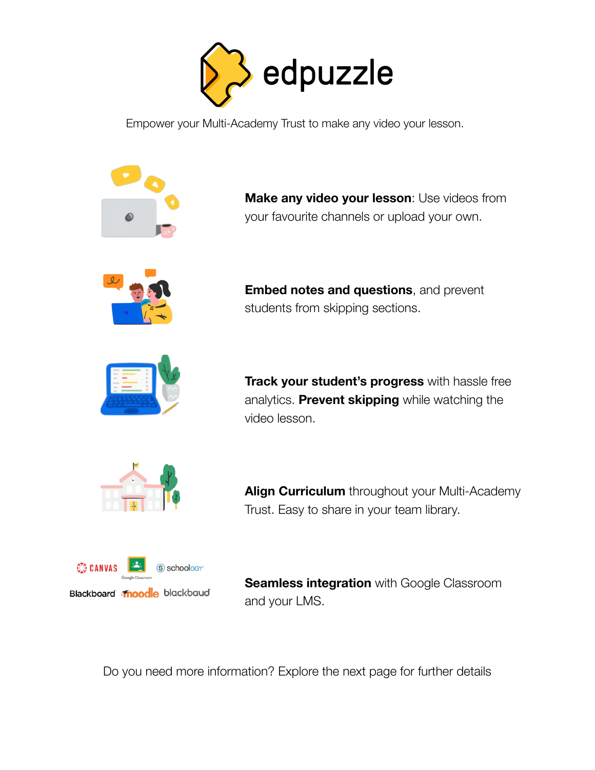

Empower your Multi-Academy Trust to make any video your lesson.



**Make any video your lesson**: Use videos from your favourite channels or upload your own.



**Embed notes and questions**, and prevent students from skipping sections.



**Track your student's progress** with hassle free analytics. **Prevent skipping** while watching the video lesson.



**Align Curriculum** throughout your Multi-Academy Trust. Easy to share in your team library.



**Seamless integration** with Google Classroom and your LMS.

Do you need more information? Explore the next page for further details